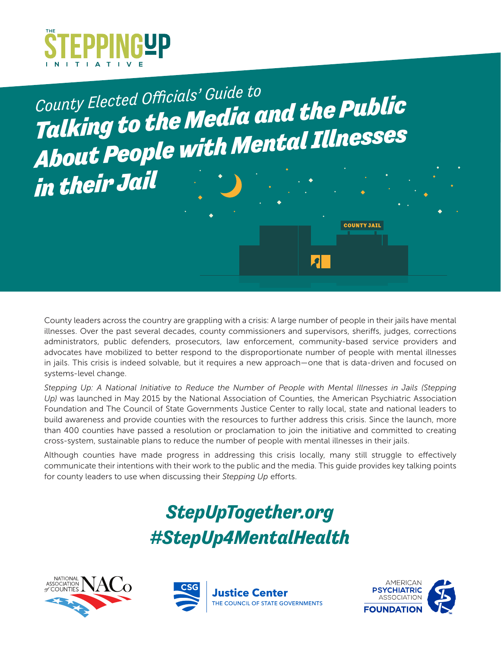

*Talking to the Media and the Public About People with Mental Illnesses County Elected Officials' Guide to*

*in their Jail*

County leaders across the country are grappling with a crisis: A large number of people in their jails have mental illnesses. Over the past several decades, county commissioners and supervisors, sheriffs, judges, corrections administrators, public defenders, prosecutors, law enforcement, community-based service providers and advocates have mobilized to better respond to the disproportionate number of people with mental illnesses in jails. This crisis is indeed solvable, but it requires a new approach—one that is data-driven and focused on systems-level change.

*Stepping Up: A National Initiative to Reduce the Number of People with Mental Illnesses in Jails (Stepping Up)* was launched in May 2015 by the National Association of Counties, the American Psychiatric Association Foundation and The Council of State Governments Justice Center to rally local, state and national leaders to build awareness and provide counties with the resources to further address this crisis. Since the launch, more than 400 counties have passed a resolution or proclamation to join the initiative and committed to creating cross-system, sustainable plans to reduce the number of people with mental illnesses in their jails.

Although counties have made progress in addressing this crisis locally, many still struggle to effectively communicate their intentions with their work to the public and the media. This guide provides key talking points for county leaders to use when discussing their *Stepping Up* efforts.

## *StepUpTogether.org #StepUp4MentalHealth*







**COUNTY JAIL** 

 $\left| \bullet \right|$